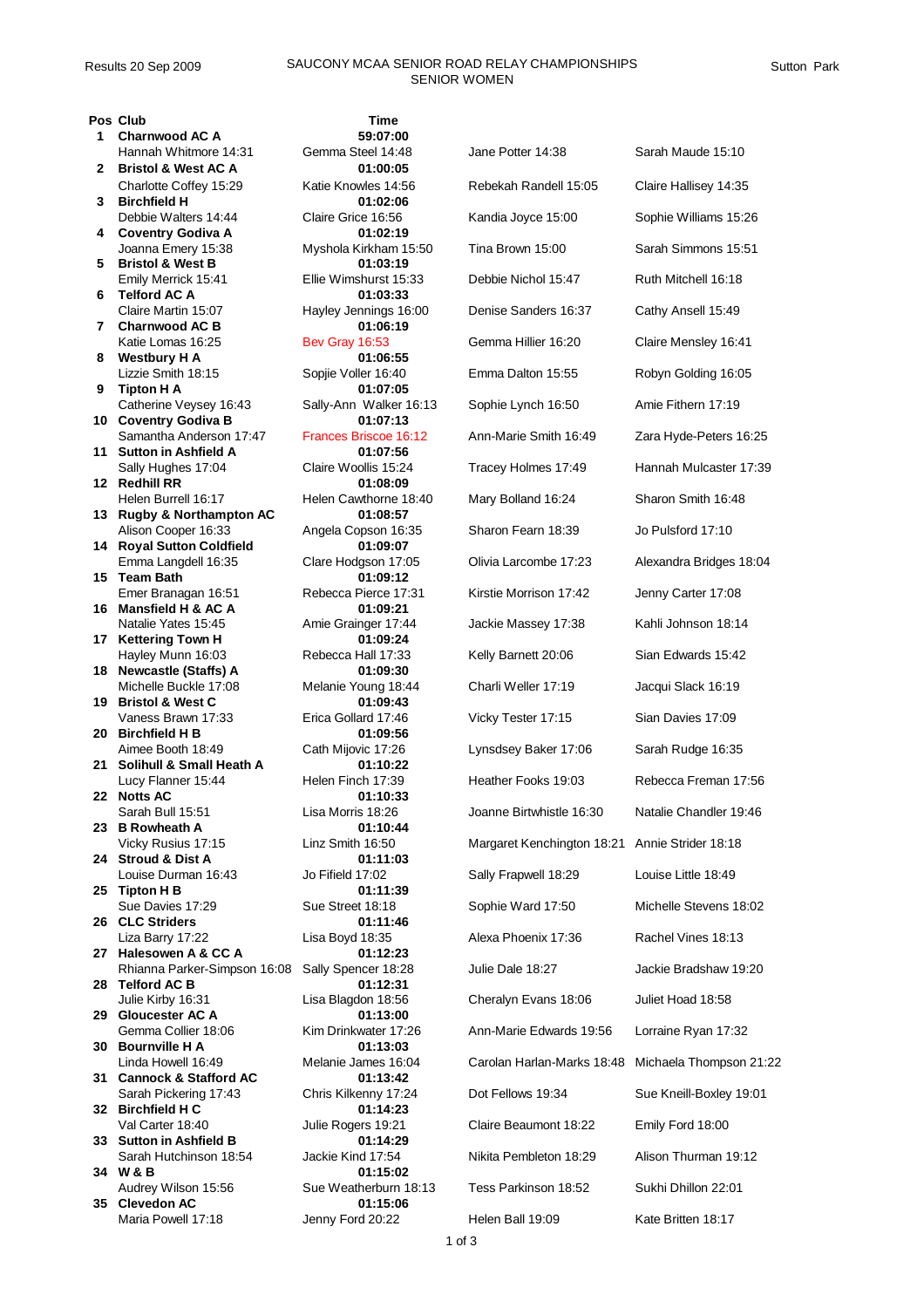## Results 20 Sep 2009 SAUCONY MCAA SENIOR ROAD RELAY CHAMPIONSHIPS SENIOR WOMEN

 **Charnwood AC A 59:07:00** Hannah Whitmore 14:31 Gemma Steel 14:48 Ja **Bristol & West AC A 01:00:05** Charlotte Coffey 15:29 Katie Knowles 14:56 Re **Birchfield H 01:02:06 Coventry Godiva A 01:02:19 Bristol & West B 01:03:19** Emily Merrick 15:41 Ellie Wimshurst 15:33 De **Telford AC A 01:03:33** Claire Martin 15:07 Hayley Jennings 16:00 Denis **Charnwood AC B 01:06:19** Katie Lomas 16:25 Bev Gray 16:53 G **Westbury H A 01:06:55 Tipton H A 01:07:05** Catherine Veysey 16:43 Sally-Ann Walker 16:13 So **Coventry Godiva B 01:07:13 Sutton in Ashfield A 01:07:56 Redhill RR 01:08:09** Helen Burrell 16:17 Helen Cawthorne 18:40 M **Rugby & Northampton AC 01:08:57** Alison Cooper 16:33 Angela Copson 16:35 Sharp **Royal Sutton Coldfield 01:09:07 Team Bath** Emer Branagan 16:51 Rebecca Pierce 17:31 Ki **Mansfield H & AC A 01:09:21** Natalie Yates 15:45 **Amie Grainger 17:44** Jackie Massey 18:45 **Kettering Town H 01:09:24** Hayley Munn 16:03 Rebecca Hall 17:33 Kelly Barnett 20:06 Sian Edwards 20:06 Sian Edwards 20:06 Sian E **Newcastle (Staffs) A 01:09:30** Michelle Buckle 17:08 Melanie Young 18:44 Charlie Weller 17:08 **Bristol & West C 01:09:43** Vaness Brawn 17:33 Erica Gollard 17:46 Vicky **Birchfield H B 01:09:56** Aimee Booth 18:49 Cath Mijovic 17:26 Ly **Solihull & Small Heath A 01:10:22 Notts AC 01:10:33 B Rowheath A 01:10:44** Vicky Rusius 17:15 Linz Smith 16:50 Margaret Kenchington 18:21 Annie Strider 18:18 **Stroud & Dist A** Louise Durman 16:43 Jo Fifield 17:02 Sally Rouise Louise Louise 20:49 **Tipton H B 01:11:39 CLC Striders 01:11:46** Liza Barry 17:22 Lisa Boyd 18:35 Alexa Phoenix 17:22 **Halesowen A & CC A 01:12:23 Telford AC B 01:12:31 Gloucester AC A 01:13:00** Gemma Collier 18:06 Kim Drinkwater 17:26 Ann- **Bournville H A 01:13:03 Cannock & Stafford AC 01:13:42 Birchfield H C 01:14:23** Val Carter 18:40 Julie Rogers 19:21 CI **Sutton in Ashfield B 01:14:29 W & B 01:15:02** Audrey Wilson 15:56 Sue Weatherburn 18:13 Te

| 35 - Clevedon AC   |  |  |
|--------------------|--|--|
| Maria Powell 17:18 |  |  |

**Pos Club Time** Lisa Blagdon 18:56 Cheralyn Evans 18:58 Cheralyn Evans 18:58 Juliet Hoad 18:58 **35 Clevedon AC 01:15:06**

| <b>CIUD</b>                                              | ı ıme                              |                                                |                         |
|----------------------------------------------------------|------------------------------------|------------------------------------------------|-------------------------|
| <b>Charnwood AC A</b>                                    | 59:07:00                           |                                                |                         |
| Hannah Whitmore 14:31                                    | Gemma Steel 14:48                  | Jane Potter 14:38                              | Sarah Maude 15:10       |
| <b>Bristol &amp; West AC A</b>                           | 01:00:05                           |                                                |                         |
| Charlotte Coffey 15:29<br><b>Birchfield H</b>            | Katie Knowles 14:56<br>01:02:06    | Rebekah Randell 15:05                          | Claire Hallisey 14:35   |
| Debbie Walters 14:44<br><b>Coventry Godiva A</b>         | Claire Grice 16:56<br>01:02:19     | Kandia Joyce 15:00                             | Sophie Williams 15:26   |
| Joanna Emery 15:38                                       | Myshola Kirkham 15:50              | Tina Brown 15:00                               | Sarah Simmons 15:51     |
| <b>Bristol &amp; West B</b><br>Emily Merrick 15:41       | 01:03:19<br>Ellie Wimshurst 15:33  | Debbie Nichol 15:47                            | Ruth Mitchell 16:18     |
| <b>Telford AC A</b>                                      | 01:03:33                           | Denise Sanders 16:37                           |                         |
| Claire Martin 15:07<br><b>Charnwood AC B</b>             | Hayley Jennings 16:00<br>01:06:19  |                                                | Cathy Ansell 15:49      |
| Katie Lomas 16:25<br>Westbury H A                        | <b>Bev Gray 16:53</b><br>01:06:55  | Gemma Hillier 16:20                            | Claire Mensley 16:41    |
| Lizzie Smith 18:15                                       | Sopjie Voller 16:40                | Emma Dalton 15:55                              | Robyn Golding 16:05     |
| <b>Tipton H A</b><br>Catherine Veysey 16:43              | 01:07:05<br>Sally-Ann Walker 16:13 | Sophie Lynch 16:50                             | Amie Fithern 17:19      |
| <b>Coventry Godiva B</b><br>Samantha Anderson 17:47      | 01:07:13<br>Frances Briscoe 16:12  | Ann-Marie Smith 16:49                          | Zara Hyde-Peters 16:25  |
| <b>Sutton in Ashfield A</b><br>Sally Hughes 17:04        | 01:07:56<br>Claire Woollis 15:24   | Tracey Holmes 17:49                            | Hannah Mulcaster 17:39  |
| <b>Redhill RR</b>                                        | 01:08:09                           |                                                |                         |
| Helen Burrell 16:17<br><b>Rugby &amp; Northampton AC</b> | Helen Cawthorne 18:40<br>01:08:57  | Mary Bolland 16:24                             | Sharon Smith 16:48      |
| Alison Cooper 16:33<br><b>Royal Sutton Coldfield</b>     | Angela Copson 16:35<br>01:09:07    | Sharon Fearn 18:39                             | Jo Pulsford 17:10       |
| Emma Langdell 16:35                                      | Clare Hodgson 17:05                | Olivia Larcombe 17:23                          | Alexandra Bridges 18:04 |
| <b>Team Bath</b><br>Emer Branagan 16:51                  | 01:09:12<br>Rebecca Pierce 17:31   | Kirstie Morrison 17:42                         | Jenny Carter 17:08      |
| Mansfield H & AC A<br>Natalie Yates 15:45                | 01:09:21<br>Amie Grainger 17:44    | Jackie Massey 17:38                            | Kahli Johnson 18:14     |
| <b>Kettering Town H</b>                                  | 01:09:24                           |                                                |                         |
| Hayley Munn 16:03<br><b>Newcastle (Staffs) A</b>         | Rebecca Hall 17:33<br>01:09:30     | Kelly Barnett 20:06                            | Sian Edwards 15:42      |
| Michelle Buckle 17:08<br><b>Bristol &amp; West C</b>     | Melanie Young 18:44<br>01:09:43    | Charli Weller 17:19                            | Jacqui Slack 16:19      |
| Vaness Brawn 17:33                                       | Erica Gollard 17:46                | Vicky Tester 17:15                             | Sian Davies 17:09       |
| <b>Birchfield H B</b><br>Aimee Booth 18:49               | 01:09:56<br>Cath Mijovic 17:26     | Lynsdsey Baker 17:06                           | Sarah Rudge 16:35       |
| Solihull & Small Heath A<br>Lucy Flanner 15:44           | 01:10:22<br>Helen Finch 17:39      | Heather Fooks 19:03                            | Rebecca Freman 17:56    |
| <b>Notts AC</b>                                          | 01:10:33                           |                                                |                         |
| Sarah Bull 15:51<br><b>B</b> Rowheath A                  | Lisa Morris 18:26<br>01:10:44      | Joanne Birtwhistle 16:30                       | Natalie Chandler 19:46  |
| Vicky Rusius 17:15                                       | Linz Smith 16:50                   | Margaret Kenchington 18:21 Annie Strider 18:18 |                         |
| <b>Stroud &amp; Dist A</b><br>Louise Durman 16:43        | 01:11:03<br>Jo Fifield 17:02       | Sally Frapwell 18:29                           | Louise Little 18:49     |
| Tipton H B<br>Sue Davies 17:29                           | 01:11:39<br>Sue Street 18:18       | Sophie Ward 17:50                              | Michelle Stevens 18:02  |
| <b>CLC Striders</b>                                      | 01:11:46                           |                                                |                         |
| Liza Barry 17:22<br>Halesowen A & CC A                   | Lisa Boyd 18:35<br>01:12:23        | Alexa Phoenix 17:36                            | Rachel Vines 18:13      |
| Rhianna Parker-Simpson 16:08<br>Telford AC B             | Sally Spencer 18:28<br>01:12:31    | Julie Dale 18:27                               | Jackie Bradshaw 19:20   |
| Julie Kirby 16:31                                        | Lisa Blagdon 18:56                 | Cheralyn Evans 18:06                           | Juliet Hoad 18:58       |
| <b>Gloucester AC A</b><br>Gemma Collier 18:06            | 01:13:00<br>Kim Drinkwater 17:26   | Ann-Marie Edwards 19:56                        | Lorraine Ryan 17:32     |
| <b>Bournville H A</b><br>Linda Howell 16:49              | 01:13:03<br>Melanie James 16:04    | Carolan Harlan-Marks 18:48                     | Michaela Thompson 21:22 |
| <b>Cannock &amp; Stafford AC</b>                         | 01:13:42                           |                                                |                         |
| Sarah Pickering 17:43<br><b>Birchfield H C</b>           | Chris Kilkenny 17:24<br>01:14:23   | Dot Fellows 19:34                              | Sue Kneill-Boxley 19:01 |
| Val Carter 18:40                                         | Julie Rogers 19:21                 | Claire Beaumont 18:22                          | Emily Ford 18:00        |
| <b>Sutton in Ashfield B</b><br>Sarah Hutchinson 18:54    | 01:14:29<br>Jackie Kind 17:54      | Nikita Pembleton 18:29                         | Alison Thurman 19:12    |
| W & B<br>Audrey Wilson 15:56                             | 01:15:02<br>Sue Weatherburn 18:13  | Tess Parkinson 18:52                           | Sukhi Dhillon 22:01     |
| <b>Clevedon AC</b>                                       | 01:15:06                           |                                                |                         |
| Maria Powell 17:18                                       | Jenny Ford 20:22                   | Helen Ball 19:09                               | Kate Britten 18:17      |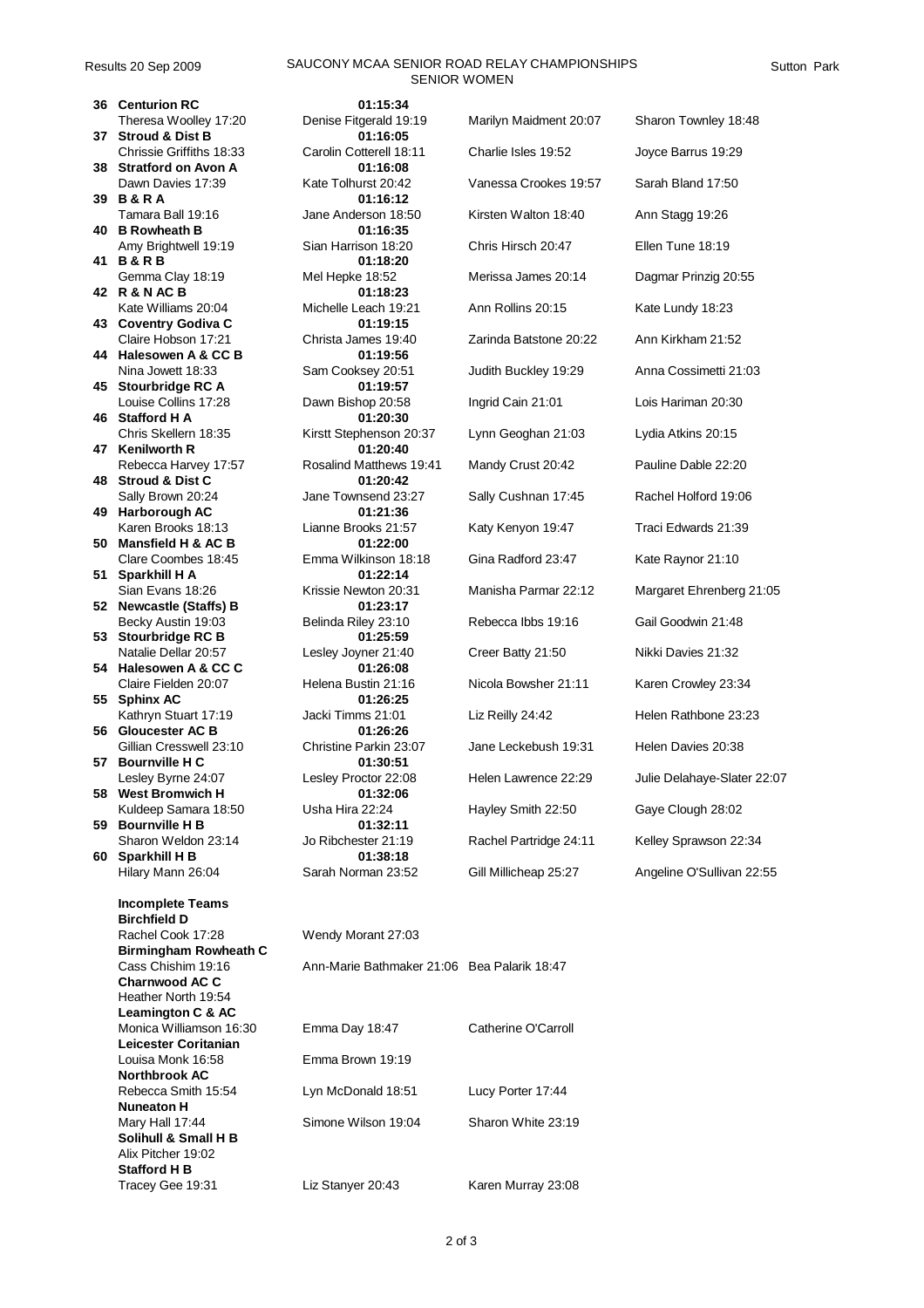## Results 20 Sep 2009 SAUCONY MCAA SENIOR ROAD RELAY CHAMPIONSHIPS SENIOR WOMEN

**36 Centurion RC 01:15:34 37 Stroud & Dist B 01:16:05** Chrissie Griffiths 18:33 Carolin Cotterell 18:11 C **38 Stratford on Avon A 01:16:08** Dawn Davies 17:39 Kate Tolhurst 20:42 **39 B & R A 01:16:12 40 B Rowheath B 01:16:35** Amy Brightwell 19:19 Sian Harrison 18:20 **41 B & R B 01:18:20 42 R & N AC B 01:18:23** Kate Williams 20:04 Michelle Leach 19:21 **43 Coventry Godiva C 01:19:15** Claire Hobson 17:21 Christa James 19:40 Z **44 Halesowen A & CC B 01:19:56 45 Stourbridge RC A 01:19:57** Louise Collins 17:28 Dawn Bishop 20:58 In **46 Stafford H A 01:20:30 47 Kenilworth R 01:20:40 48 Stroud & Dist C 01:20:42 49 Harborough AC 01:21:36 50 Mansfield H & AC B 01:22:00** Clare Coombes 18:45 Emma Wilkinson 18:18 **51 Sparkhill H A 01:22:14 52 Newcastle (Staffs) B 01:23:17 53 Stourbridge RC B 01:25:59** Natalie Dellar 20:57 Lesley Joyner 21:40 **54 Halesowen A & CC C 01:26:08 55 Sphinx AC 01:26:25 56 Gloucester AC B 01:26:26 57 Bournville H C 01:30:51 58 West Bromwich H 01:32:06** Kuldeep Samara 18:50 Usha Hira 22:24 Hayley Samara 18:50 **59 Bournville H B 01:32:11 60 Sparkhill H B 01:38:18 Incomplete Teams Birchfield D** Rachel Cook 17:28 **Birmingham Rowheath C Charnwood AC C** Heather North 19:54 **Leamington C & AC Leicester Coritanian**  Louisa Monk 16:58 **Northbrook AC Nuneaton H Solihull & Small H B** Alix Pitcher 19:02

| <b>Centurion RC</b>         | 01:15:34                |                        |                             |
|-----------------------------|-------------------------|------------------------|-----------------------------|
| Theresa Woolley 17:20       | Denise Fitgerald 19:19  | Marilyn Maidment 20:07 | Sharon Townley 18:48        |
| <b>Stroud &amp; Dist B</b>  | 01:16:05                |                        |                             |
| Chrissie Griffiths 18:33    | Carolin Cotterell 18:11 | Charlie Isles 19:52    | Joyce Barrus 19:29          |
| <b>Stratford on Avon A</b>  | 01:16:08                |                        |                             |
| Dawn Davies 17:39           | Kate Tolhurst 20:42     | Vanessa Crookes 19:57  | Sarah Bland 17:50           |
| <b>B&amp;RA</b>             | 01:16:12                |                        |                             |
| Tamara Ball 19:16           | Jane Anderson 18:50     | Kirsten Walton 18:40   | Ann Stagg 19:26             |
| <b>B Rowheath B</b>         | 01:16:35                |                        |                             |
| Amy Brightwell 19:19        | Sian Harrison 18:20     | Chris Hirsch 20:47     | Ellen Tune 18:19            |
| <b>B&amp;RB</b>             | 01:18:20                |                        |                             |
| Gemma Clay 18:19            | Mel Hepke 18:52         | Merissa James 20:14    | Dagmar Prinzig 20:55        |
| R & N AC B                  | 01:18:23                |                        |                             |
| Kate Williams 20:04         | Michelle Leach 19:21    | Ann Rollins 20:15      | Kate Lundy 18:23            |
| <b>Coventry Godiva C</b>    | 01:19:15                |                        |                             |
| Claire Hobson 17:21         | Christa James 19:40     | Zarinda Batstone 20:22 | Ann Kirkham 21:52           |
| Halesowen A & CC B          | 01:19:56                |                        |                             |
| Nina Jowett 18:33           | Sam Cooksey 20:51       | Judith Buckley 19:29   | Anna Cossimetti 21:03       |
| Stourbridge RC A            | 01:19:57                |                        |                             |
| Louise Collins 17:28        | Dawn Bishop 20:58       | Ingrid Cain 21:01      | Lois Hariman 20:30          |
| <b>Stafford H A</b>         | 01:20:30                |                        |                             |
| Chris Skellern 18:35        | Kirstt Stephenson 20:37 | Lynn Geoghan 21:03     | Lydia Atkins 20:15          |
| <b>Kenilworth R</b>         | 01:20:40                |                        |                             |
| Rebecca Harvey 17:57        | Rosalind Matthews 19:41 | Mandy Crust 20:42      | Pauline Dable 22:20         |
| <b>Stroud &amp; Dist C</b>  | 01:20:42                |                        |                             |
| Sally Brown 20:24           | Jane Townsend 23:27     | Sally Cushnan 17:45    | Rachel Holford 19:06        |
| Harborough AC               | 01:21:36                |                        |                             |
| Karen Brooks 18:13          | Lianne Brooks 21:57     | Katy Kenyon 19:47      | Traci Edwards 21:39         |
| Mansfield H & AC B          | 01:22:00                |                        |                             |
| Clare Coombes 18:45         | Emma Wilkinson 18:18    | Gina Radford 23:47     | Kate Raynor 21:10           |
| Sparkhill H A               | 01:22:14                |                        |                             |
| Sian Evans 18:26            | Krissie Newton 20:31    | Manisha Parmar 22:12   | Margaret Ehrenberg 21:05    |
| <b>Newcastle (Staffs) B</b> | 01:23:17                |                        |                             |
| Becky Austin 19:03          | Belinda Riley 23:10     | Rebecca Ibbs 19:16     | Gail Goodwin 21:48          |
| Stourbridge RC B            | 01:25:59                |                        |                             |
| Natalie Dellar 20:57        | Lesley Joyner 21:40     | Creer Batty 21:50      | Nikki Davies 21:32          |
| Halesowen A & CC C          | 01:26:08                |                        |                             |
| Claire Fielden 20:07        | Helena Bustin 21:16     | Nicola Bowsher 21:11   | Karen Crowley 23:34         |
| <b>Sphinx AC</b>            | 01:26:25                |                        |                             |
| Kathryn Stuart 17:19        | Jacki Timms 21:01       | Liz Reilly 24:42       | Helen Rathbone 23:23        |
| <b>Gloucester AC B</b>      | 01:26:26                |                        |                             |
| Gillian Cresswell 23:10     | Christine Parkin 23:07  | Jane Leckebush 19:31   | Helen Davies 20:38          |
| <b>Bournville H C</b>       | 01:30:51                |                        |                             |
| Lesley Byrne 24:07          | Lesley Proctor 22:08    | Helen Lawrence 22:29   | Julie Delahaye-Slater 22:07 |
| <b>West Bromwich H</b>      | 01:32:06                |                        |                             |
| Kuldeep Samara 18:50        | Usha Hira 22:24         | Hayley Smith 22:50     | Gaye Clough 28:02           |
| <b>Bournville H B</b>       | 01:32:11                |                        |                             |
| Sharon Weldon 23:14         | Jo Ribchester 21:19     | Rachel Partridge 24:11 | Kelley Sprawson 22:34       |
| Sparkhill H B               | 01:38:18                |                        |                             |
| Hilary Mann 26:04           | Sarah Norman 23:52      | Gill Millicheap 25:27  | Angeline O'Sullivan 22:55   |

| Rachel Cook 17:28       | Wendy Morant 27:03                          |                     |
|-------------------------|---------------------------------------------|---------------------|
| Birmingham Rowheath C   |                                             |                     |
| Cass Chishim 19:16      | Ann-Marie Bathmaker 21:06 Bea Palarik 18:47 |                     |
| Charnwood AC C          |                                             |                     |
| Heather North 19:54     |                                             |                     |
| Leamington C & AC       |                                             |                     |
| Monica Williamson 16:30 | Emma Day 18:47                              | Catherine O'Carroll |
| Leicester Coritanian    |                                             |                     |
| Louisa Monk 16:58       | Emma Brown 19:19                            |                     |
| <b>Northbrook AC</b>    |                                             |                     |
| Rebecca Smith 15:54     | Lyn McDonald 18:51                          | Lucy Porter 17:44   |
| <b>Nuneaton H</b>       |                                             |                     |
| Mary Hall 17:44         | Simone Wilson 19:04                         | Sharon White 23:19  |
| Solihull & Small H B    |                                             |                     |
| Alix Pitcher 19:02      |                                             |                     |
| <b>Stafford H B</b>     |                                             |                     |
| Tracey Gee 19:31        | Liz Stanyer 20:43                           | Karen Murray 23:08  |